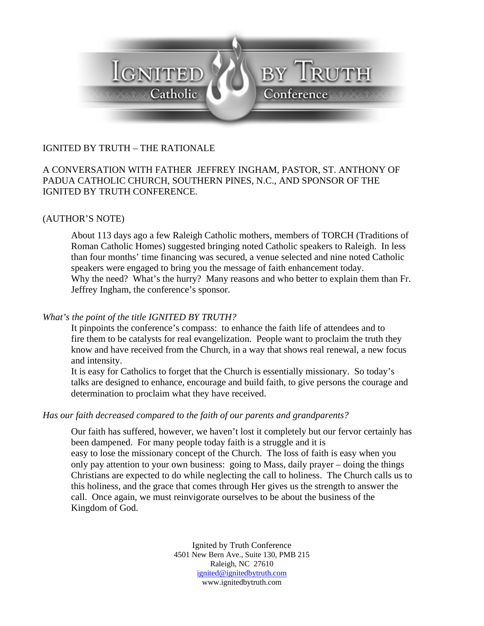

# IGNITED BY TRUTH – THE RATIONALE

### A CONVERSATION WITH FATHER JEFFREY INGHAM, PASTOR, ST. ANTHONY OF PADUA CATHOLIC CHURCH, SOUTHERN PINES, N.C., AND SPONSOR OF THE IGNITED BY TRUTH CONFERENCE.

#### (AUTHOR'S NOTE)

About 113 days ago a few Raleigh Catholic mothers, members of TORCH (Traditions of Roman Catholic Homes) suggested bringing noted Catholic speakers to Raleigh. In less than four months' time financing was secured, a venue selected and nine noted Catholic speakers were engaged to bring you the message of faith enhancement today. Why the need? What's the hurry? Many reasons and who better to explain them than Fr. Jeffrey Ingham, the conference's sponsor.

#### *What's the point of the title IGNITED BY TRUTH?*

 It pinpoints the conference's compass: to enhance the faith life of attendees and to fire them to be catalysts for real evangelization. People want to proclaim the truth they know and have received from the Church, in a way that shows real renewal, a new focus and intensity.

It is easy for Catholics to forget that the Church is essentially missionary. So today's talks are designed to enhance, encourage and build faith, to give persons the courage and determination to proclaim what they have received.

#### *Has our faith decreased compared to the faith of our parents and grandparents?*

Our faith has suffered, however, we haven't lost it completely but our fervor certainly has been dampened. For many people today faith is a struggle and it is easy to lose the missionary concept of the Church. The loss of faith is easy when you only pay attention to your own business: going to Mass, daily prayer – doing the things Christians are expected to do while neglecting the call to holiness. The Church calls us to this holiness, and the grace that comes through Her gives us the strength to answer the call. Once again, we must reinvigorate ourselves to be about the business of the Kingdom of God.

> Ignited by Truth Conference 4501 New Bern Ave., Suite 130, PMB 215 Raleigh, NC 27610 ignited@ignitedbytruth.com www.ignitedbytruth.com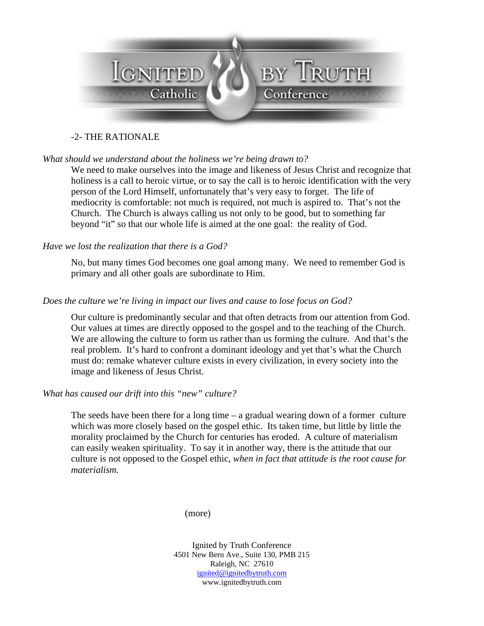

# -2- THE RATIONALE

### *What should we understand about the holiness we're being drawn to?*

We need to make ourselves into the image and likeness of Jesus Christ and recognize that holiness is a call to heroic virtue, or to say the call is to heroic identification with the very person of the Lord Himself, unfortunately that's very easy to forget. The life of mediocrity is comfortable: not much is required, not much is aspired to. That's not the Church. The Church is always calling us not only to be good, but to something far beyond "it" so that our whole life is aimed at the one goal: the reality of God.

### *Have we lost the realization that there is a God?*

No, but many times God becomes one goal among many. We need to remember God is primary and all other goals are subordinate to Him.

### *Does the culture we're living in impact our lives and cause to lose focus on God?*

Our culture is predominantly secular and that often detracts from our attention from God. Our values at times are directly opposed to the gospel and to the teaching of the Church. We are allowing the culture to form us rather than us forming the culture. And that's the real problem. It's hard to confront a dominant ideology and yet that's what the Church must do: remake whatever culture exists in every civilization, in every society into the image and likeness of Jesus Christ.

### *What has caused our drift into this "new" culture?*

The seeds have been there for a long time – a gradual wearing down of a former culture which was more closely based on the gospel ethic. Its taken time, but little by little the morality proclaimed by the Church for centuries has eroded. A culture of materialism can easily weaken spirituality. To say it in another way, there is the attitude that our culture is not opposed to the Gospel ethic, *when in fact that attitude is the root cause for materialism.*

(more)

Ignited by Truth Conference 4501 New Bern Ave., Suite 130, PMB 215 Raleigh, NC 27610 ignited@ignitedbytruth.com www.ignitedbytruth.com